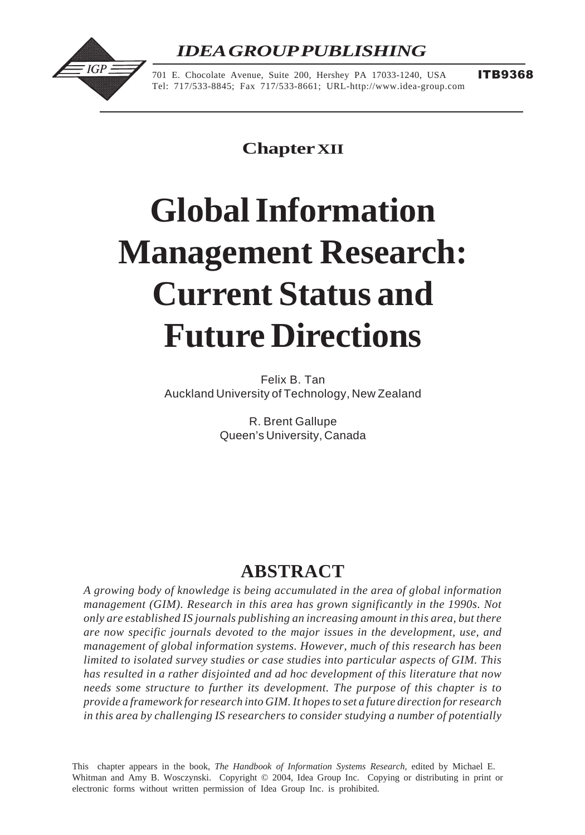## *IDEA GROUP PUBLISHING*



701 E. Chocolate Avenue, Suite 200, Hershey PA 17033-1240, USA Tel: 717/533-8845; Fax 717/533-8661; URL-http://www.idea-group.com **ITB9368** 

**Chapter XII**

# **Global Information Management Research: Current Status and Future Directions**

Felix B. Tan Auckland University of Technology, New Zealand

> R. Brent Gallupe Queen's University, Canada

# **ABSTRACT**

*A growing body of knowledge is being accumulated in the area of global information management (GIM). Research in this area has grown significantly in the 1990s. Not only are established IS journals publishing an increasing amount in this area, but there are now specific journals devoted to the major issues in the development, use, and management of global information systems. However, much of this research has been limited to isolated survey studies or case studies into particular aspects of GIM. This has resulted in a rather disjointed and ad hoc development of this literature that now needs some structure to further its development. The purpose of this chapter is to provide a framework for research into GIM. It hopes to set a future direction for research in this area by challenging IS researchers to consider studying a number of potentially*

This chapter appears in the book, *The Handbook of Information Systems Research,* edited by Michael E. Whitman and Amy B. Wosczynski. Copyright © 2004, Idea Group Inc. Copying or distributing in print or electronic forms without written permission of Idea Group Inc. is prohibited.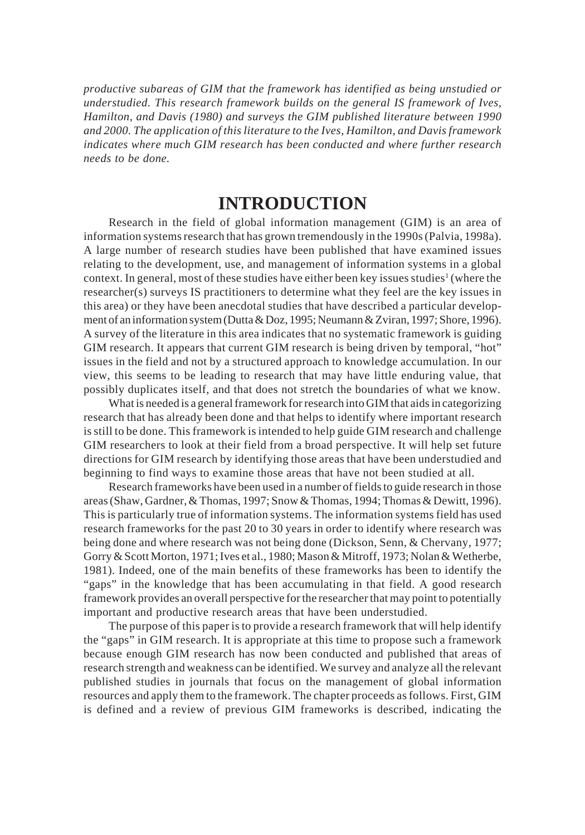*productive subareas of GIM that the framework has identified as being unstudied or understudied. This research framework builds on the general IS framework of Ives, Hamilton, and Davis (1980) and surveys the GIM published literature between 1990 and 2000. The application of this literature to the Ives, Hamilton, and Davis framework indicates where much GIM research has been conducted and where further research needs to be done.*

### **INTRODUCTION**

Research in the field of global information management (GIM) is an area of information systems research that has grown tremendously in the 1990s (Palvia, 1998a). A large number of research studies have been published that have examined issues relating to the development, use, and management of information systems in a global context. In general, most of these studies have either been key issues studies<sup>1</sup> (where the researcher(s) surveys IS practitioners to determine what they feel are the key issues in this area) or they have been anecdotal studies that have described a particular development of an information system (Dutta & Doz, 1995; Neumann & Zviran, 1997; Shore, 1996). A survey of the literature in this area indicates that no systematic framework is guiding GIM research. It appears that current GIM research is being driven by temporal, "hot" issues in the field and not by a structured approach to knowledge accumulation. In our view, this seems to be leading to research that may have little enduring value, that possibly duplicates itself, and that does not stretch the boundaries of what we know.

What is needed is a general framework for research into GIM that aids in categorizing research that has already been done and that helps to identify where important research is still to be done. This framework is intended to help guide GIM research and challenge GIM researchers to look at their field from a broad perspective. It will help set future directions for GIM research by identifying those areas that have been understudied and beginning to find ways to examine those areas that have not been studied at all.

Research frameworks have been used in a number of fields to guide research in those areas (Shaw, Gardner, & Thomas, 1997; Snow & Thomas, 1994; Thomas & Dewitt, 1996). This is particularly true of information systems. The information systems field has used research frameworks for the past 20 to 30 years in order to identify where research was being done and where research was not being done (Dickson, Senn, & Chervany, 1977; Gorry & Scott Morton, 1971; Ives et al., 1980; Mason & Mitroff, 1973; Nolan & Wetherbe, 1981). Indeed, one of the main benefits of these frameworks has been to identify the "gaps" in the knowledge that has been accumulating in that field. A good research framework provides an overall perspective for the researcher that may point to potentially important and productive research areas that have been understudied.

The purpose of this paper is to provide a research framework that will help identify the "gaps" in GIM research. It is appropriate at this time to propose such a framework because enough GIM research has now been conducted and published that areas of research strength and weakness can be identified. We survey and analyze all the relevant published studies in journals that focus on the management of global information resources and apply them to the framework. The chapter proceeds as follows. First, GIM is defined and a review of previous GIM frameworks is described, indicating the